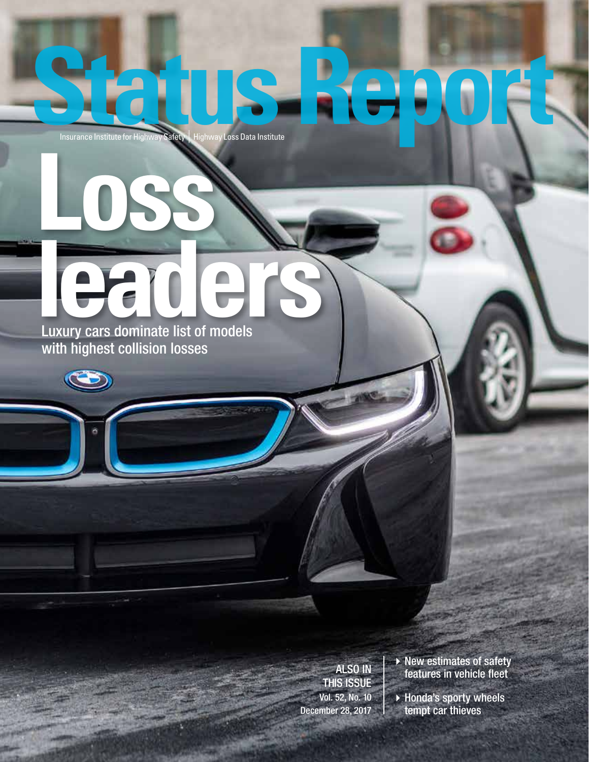# **Status Report Institute for Highway Safety** | Highway Loss Data Institute **Loss**

## **leaders** Luxury cars dominate list of models

with highest collision losses

ALSO IN THIS ISSUE Vol. 52, No. 10 December 28, 2017

 $\rightarrow$  New estimates of safety features in vehicle fleet

 $\blacktriangleright$  Honda's sporty wheels tempt car thieves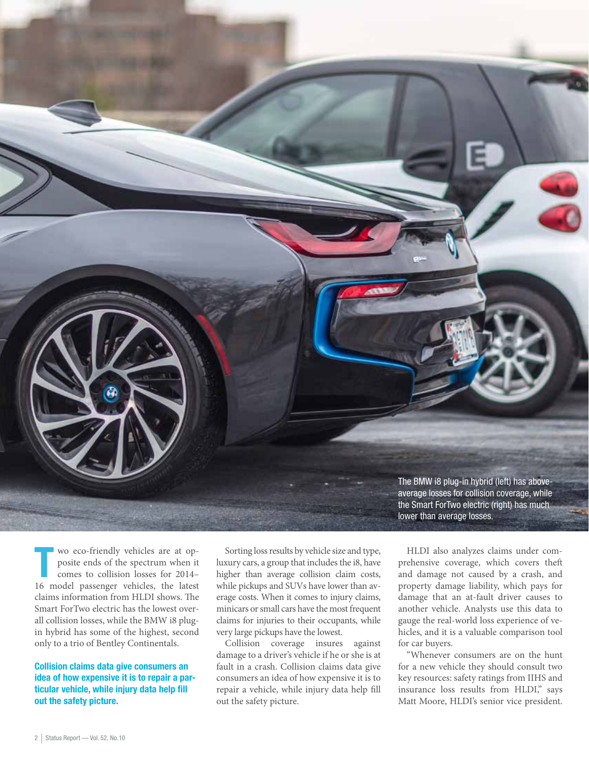

Wo eco-friendly vehicles are at op-<br>posite ends of the spectrum when it<br>comes to collision losses for 2014– posite ends of the spectrum when it 16 model passenger vehicles, the latest claims information from HLDI shows. The Smart ForTwo electric has the lowest overall collision losses, while the BMW i8 plugin hybrid has some of the highest, second only to a trio of Bentley Continentals.

Collision claims data give consumers an idea of how expensive it is to repair a particular vehicle, while injury data help fill out the safety picture.

Sorting loss results by vehicle size and type, luxury cars, a group that includes the i8, have higher than average collision claim costs, while pickups and SUVs have lower than average costs. When it comes to injury claims, minicars or small cars have the most frequent claims for injuries to their occupants, while very large pickups have the lowest.

Collision coverage insures against damage to a driver's vehicle if he or she is at fault in a crash. Collision claims data give consumers an idea of how expensive it is to repair a vehicle, while injury data help fill out the safety picture.

HLDI also analyzes claims under comprehensive coverage, which covers theft and damage not caused by a crash, and property damage liability, which pays for damage that an at-fault driver causes to another vehicle. Analysts use this data to gauge the real-world loss experience of vehicles, and it is a valuable comparison tool for car buyers.

"Whenever consumers are on the hunt for a new vehicle they should consult two key resources: safety ratings from IIHS and insurance loss results from HLDI," says Matt Moore, HLDI's senior vice president.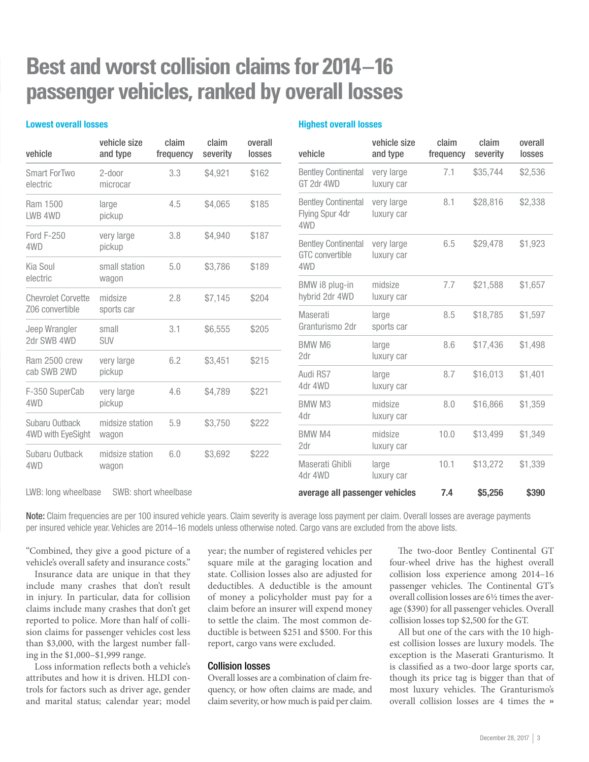### **Best and worst collision claims for 2014–16 passenger vehicles, ranked by overall losses**

#### Lowest overall losses

#### Highest overall losses

vehicle size

claim

claim

overall

| vehicle                                      | vehicle size<br>and type | claim<br>frequency | claim<br>severity | overall<br>losses | vehicle                                       |     |
|----------------------------------------------|--------------------------|--------------------|-------------------|-------------------|-----------------------------------------------|-----|
| <b>Smart ForTwo</b><br>electric              | 2-door<br>microcar       | 3.3                | \$4,921           | \$162             | <b>Bentley Co</b><br>GT 2dr 4W                |     |
| Ram 1500<br>LWB 4WD                          | large<br>pickup          | 4.5                | \$4,065           | \$185             | <b>Bentley Co</b><br><b>Flying Spu</b><br>4WD |     |
| <b>Ford F-250</b><br>4WD                     | very large<br>pickup     | 3.8                | \$4,940           | \$187             | <b>Bentley Co</b><br><b>GTC</b> conve         |     |
| Kia Soul                                     | small station            | 5.0                | \$3,786           | \$189             | 4WD<br>BMW i8 p                               |     |
| electric                                     | wagon                    |                    |                   |                   |                                               |     |
| <b>Chevrolet Corvette</b><br>Z06 convertible | midsize<br>sports car    | 2.8                | \$7,145           | \$204             | hybrid 2d                                     |     |
|                                              |                          |                    |                   | \$205             | Maserati<br>Granturisr                        |     |
| Jeep Wrangler<br>2dr SWB 4WD                 | small<br><b>SUV</b>      | 3.1                | \$6,555           |                   | <b>BMW M6</b>                                 |     |
| Ram 2500 crew                                | very large               |                    |                   | 6.2<br>\$3,451    | \$215                                         | 2dr |
| cab SWB 2WD                                  | pickup                   |                    |                   |                   | Audi RS7                                      |     |
| F-350 SuperCab                               | very large               | 4.6                | \$4,789           | \$221             | 4dr 4WD                                       |     |
| 4WD                                          | pickup                   |                    |                   |                   | <b>BMW M3</b>                                 |     |
| Subaru Outback                               | midsize station          | 5.9                | \$3,750           | \$222             | 4dr                                           |     |
| 4WD with EyeSight                            | wagon                    |                    |                   |                   | <b>BMW M4</b><br>2dr                          |     |
| Subaru Outback<br>4WD                        | midsize station<br>wagon | 6.0                | \$3,692           | \$222             |                                               |     |
|                                              |                          |                    |                   |                   | Maserati<br>4dr 4WD                           |     |

| vehicle                                                     | <b>ASILING SITE</b><br>and type | ыанн<br>frequency | ыанн<br>severity | <u>uvtiali</u><br>losses |
|-------------------------------------------------------------|---------------------------------|-------------------|------------------|--------------------------|
| <b>Bentley Continental</b><br>GT 2dr 4WD                    | very large<br>luxury car        | 7.1               | \$35,744         | \$2,536                  |
| <b>Bentley Continental</b><br>Flying Spur 4dr<br>4WD        | very large<br>luxury car        | 8.1               | \$28,816         | \$2,338                  |
| <b>Bentley Continental</b><br><b>GTC</b> convertible<br>4WD | very large<br>luxury car        | 6.5               | \$29,478         | \$1,923                  |
| BMW i8 plug-in<br>hybrid 2dr 4WD                            | midsize<br>luxury car           | 7.7               | \$21,588         | \$1,657                  |
| Maserati<br>Granturismo 2dr                                 | large<br>sports car             | 8.5               | \$18,785         | \$1,597                  |
| <b>BMW M6</b><br>2dr                                        | large<br>luxury car             | 8.6               | \$17,436         | \$1,498                  |
| Audi RS7<br>4dr 4WD                                         | large<br>luxury car             | 8.7               | \$16,013         | \$1,401                  |
| <b>BMW M3</b><br>4dr                                        | midsize<br>luxury car           | 8.0               | \$16,866         | \$1,359                  |
| <b>BMW M4</b><br>2dr                                        | midsize<br>luxury car           | 10.0              | \$13,499         | \$1,349                  |
| Maserati Ghibli<br>4dr 4WD                                  | large<br>luxury car             | 10.1              | \$13,272         | \$1,339                  |
| average all passenger vehicles                              | 7.4                             | \$5.256           | \$390            |                          |

LWB: long wheelbase SWB: short wheelbase

Note: Claim frequencies are per 100 insured vehicle years. Claim severity is average loss payment per claim. Overall losses are average payments per insured vehicle year. Vehicles are 2014–16 models unless otherwise noted. Cargo vans are excluded from the above lists.

"Combined, they give a good picture of a vehicle's overall safety and insurance costs."

Insurance data are unique in that they include many crashes that don't result in injury. In particular, data for collision claims include many crashes that don't get reported to police. More than half of collision claims for passenger vehicles cost less than \$3,000, with the largest number falling in the \$1,000–\$1,999 range.

Loss information reflects both a vehicle's attributes and how it is driven. HLDI controls for factors such as driver age, gender and marital status; calendar year; model

year; the number of registered vehicles per square mile at the garaging location and state. Collision losses also are adjusted for deductibles. A deductible is the amount of money a policyholder must pay for a claim before an insurer will expend money to settle the claim. The most common deductible is between \$251 and \$500. For this report, cargo vans were excluded.

#### Collision losses

Overall losses are a combination of claim frequency, or how often claims are made, and claim severity, or how much is paid per claim.

The two-door Bentley Continental GT four-wheel drive has the highest overall collision loss experience among 2014–16 passenger vehicles. The Continental GT's overall collision losses are 6½ times the average (\$390) for all passenger vehicles. Overall collision losses top \$2,500 for the GT.

All but one of the cars with the 10 highest collision losses are luxury models. The exception is the Maserati Granturismo. It is classified as a two-door large sports car, though its price tag is bigger than that of most luxury vehicles. The Granturismo's overall collision losses are 4 times the »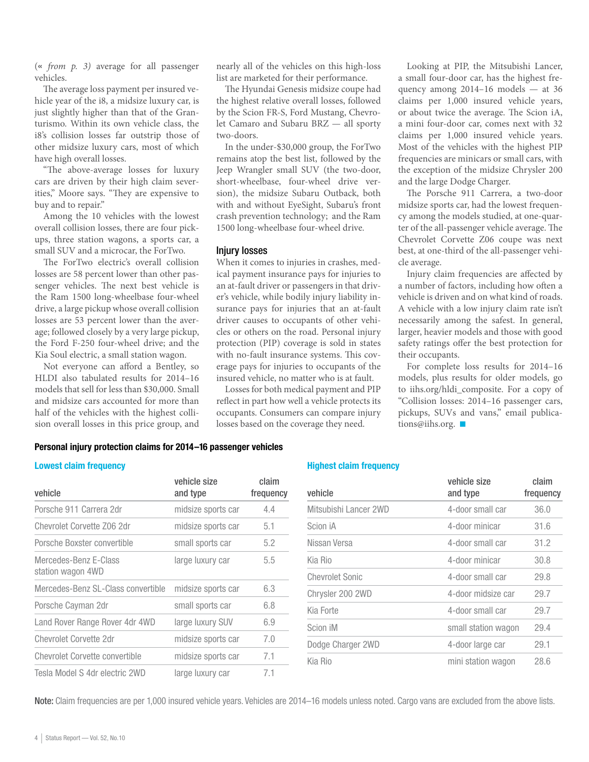(« *from p. 3)* average for all passenger vehicles.

The average loss payment per insured vehicle year of the i8, a midsize luxury car, is just slightly higher than that of the Granturismo. Within its own vehicle class, the i8's collision losses far outstrip those of other midsize luxury cars, most of which have high overall losses.

"The above-average losses for luxury cars are driven by their high claim severities," Moore says. "They are expensive to buy and to repair."

Among the 10 vehicles with the lowest overall collision losses, there are four pickups, three station wagons, a sports car, a small SUV and a microcar, the ForTwo.

The ForTwo electric's overall collision losses are 58 percent lower than other passenger vehicles. The next best vehicle is the Ram 1500 long-wheelbase four-wheel drive, a large pickup whose overall collision losses are 53 percent lower than the average; followed closely by a very large pickup, the Ford F-250 four-wheel drive; and the Kia Soul electric, a small station wagon.

Not everyone can afford a Bentley, so HLDI also tabulated results for 2014–16 models that sell for less than \$30,000. Small and midsize cars accounted for more than half of the vehicles with the highest collision overall losses in this price group, and

nearly all of the vehicles on this high-loss list are marketed for their performance.

The Hyundai Genesis midsize coupe had the highest relative overall losses, followed by the Scion FR-S, Ford Mustang, Chevrolet Camaro and Subaru BRZ — all sporty two-doors.

In the under-\$30,000 group, the ForTwo remains atop the best list, followed by the Jeep Wrangler small SUV (the two-door, short-wheelbase, four-wheel drive version), the midsize Subaru Outback, both with and without EyeSight, Subaru's front crash prevention technology; and the Ram 1500 long-wheelbase four-wheel drive.

#### Injury losses

When it comes to injuries in crashes, medical payment insurance pays for injuries to an at-fault driver or passengers in that driver's vehicle, while bodily injury liability insurance pays for injuries that an at-fault driver causes to occupants of other vehicles or others on the road. Personal injury protection (PIP) coverage is sold in states with no-fault insurance systems. This coverage pays for injuries to occupants of the insured vehicle, no matter who is at fault.

Losses for both medical payment and PIP reflect in part how well a vehicle protects its occupants. Consumers can compare injury losses based on the coverage they need.

Looking at PIP, the Mitsubishi Lancer, a small four-door car, has the highest frequency among 2014–16 models — at 36 claims per 1,000 insured vehicle years, or about twice the average. The Scion iA, a mini four-door car, comes next with 32 claims per 1,000 insured vehicle years. Most of the vehicles with the highest PIP frequencies are minicars or small cars, with the exception of the midsize Chrysler 200 and the large Dodge Charger.

The Porsche 911 Carrera, a two-door midsize sports car, had the lowest frequency among the models studied, at one-quarter of the all-passenger vehicle average. The Chevrolet Corvette Z06 coupe was next best, at one-third of the all-passenger vehicle average.

Injury claim frequencies are affected by a number of factors, including how often a vehicle is driven and on what kind of roads. A vehicle with a low injury claim rate isn't necessarily among the safest. In general, larger, heavier models and those with good safety ratings offer the best protection for their occupants.

For complete loss results for 2014–16 models, plus results for older models, go to iihs.org/hldi\_composite. For a copy of "Collision losses: 2014–16 passenger cars, pickups, SUVs and vans," email publications@iihs.org.

#### Personal injury protection claims for 2014–16 passenger vehicles

#### Lowest claim frequency

| vehicle                                    | vehicle size<br>and type | claim<br>frequency |
|--------------------------------------------|--------------------------|--------------------|
| Porsche 911 Carrera 2dr                    | midsize sports car       | 4.4                |
| Chevrolet Corvette Z06 2dr                 | midsize sports car       | 5.1                |
| Porsche Boxster convertible                | small sports car         | 5.2                |
| Mercedes-Benz E-Class<br>station wagon 4WD | large luxury car         | 5.5                |
| Mercedes-Benz SL-Class convertible         | midsize sports car       | 6.3                |
| Porsche Cayman 2dr                         | small sports car         | 6.8                |
| Land Rover Range Rover 4dr 4WD             | large luxury SUV         | 6.9                |
| Chevrolet Corvette 2dr                     | midsize sports car       | 7.0                |
| Chevrolet Corvette convertible             | midsize sports car       | 7.1                |
| Tesla Model S 4dr electric 2WD             | large luxury car         | 7.1                |

#### Highest claim frequency

| vehicle                | vehicle size<br>and type | claim<br>frequency |
|------------------------|--------------------------|--------------------|
| Mitsubishi Lancer 2WD  | 4-door small car         | 36.0               |
| Scion iA               | 4-door minicar           | 31.6               |
| Nissan Versa           | 4-door small car         | 31.2               |
| Kia Rio                | 4-door minicar           | 30.8               |
| <b>Chevrolet Sonic</b> | 4-door small car         | 29.8               |
| Chrysler 200 2WD       | 4-door midsize car       | 29.7               |
| Kia Forte              | 4-door small car         | 29.7               |
| Scion iM               | small station wagon      | 29.4               |
| Dodge Charger 2WD      | 4-door large car         | 29.1               |
| Kia Rio                | mini station wagon       | 28.6               |

Note: Claim frequencies are per 1,000 insured vehicle years. Vehicles are 2014–16 models unless noted. Cargo vans are excluded from the above lists.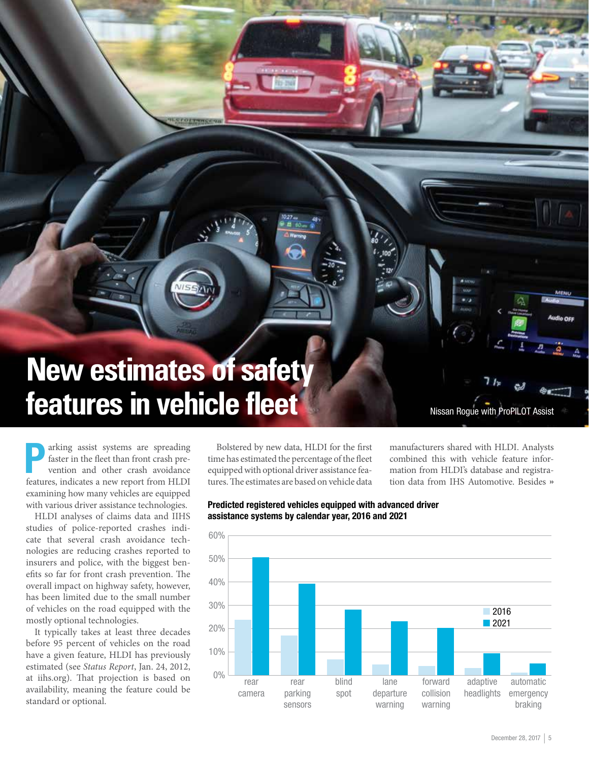## **New estimates of safety features in vehicle fleet**

**Parking assist systems are spreading faster in the fleet than front crash prevention and other crash avoidance** faster in the fleet than front crash prevention and other crash avoidance features, indicates a new report from HLDI examining how many vehicles are equipped with various driver assistance technologies.

HLDI analyses of claims data and IIHS studies of police-reported crashes indicate that several crash avoidance technologies are reducing crashes reported to insurers and police, with the biggest benefits so far for front crash prevention. The overall impact on highway safety, however, has been limited due to the small number of vehicles on the road equipped with the mostly optional technologies.

It typically takes at least three decades before 95 percent of vehicles on the road have a given feature, HLDI has previously estimated (see *Status Report*, Jan. 24, 2012, at iihs.org). That projection is based on availability, meaning the feature could be standard or optional.

Bolstered by new data, HLDI for the first time has estimated the percentage of the fleet equipped with optional driver assistance features. The estimates are based on vehicle data manufacturers shared with HLDI. Analysts combined this with vehicle feature information from HLDI's database and registration data from IHS Automotive. Besides »

Nissan Rogue with ProPILOT Assist



Predicted registered vehicles equipped with advanced driver assistance systems by calendar year, 2016 and 2021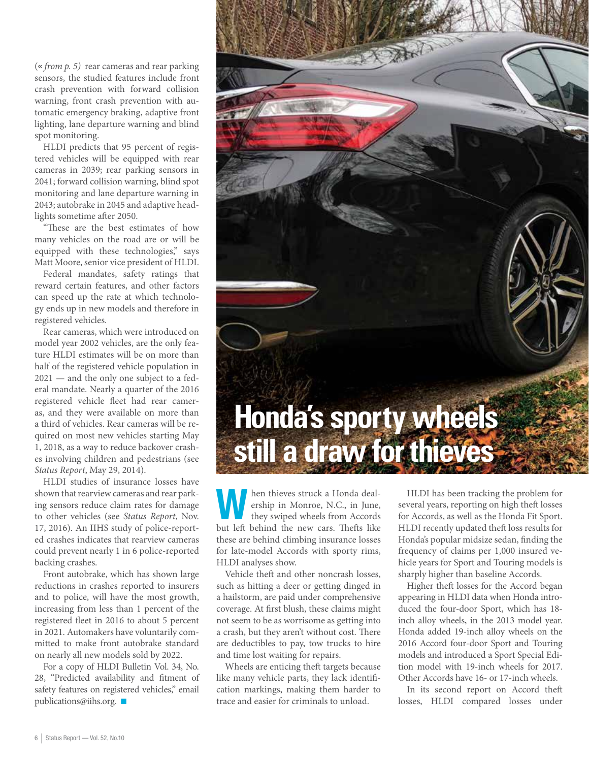(« *from p. 5)* rear cameras and rear parking sensors, the studied features include front crash prevention with forward collision warning, front crash prevention with automatic emergency braking, adaptive front lighting, lane departure warning and blind spot monitoring.

HLDI predicts that 95 percent of registered vehicles will be equipped with rear cameras in 2039; rear parking sensors in 2041; forward collision warning, blind spot monitoring and lane departure warning in 2043; autobrake in 2045 and adaptive headlights sometime after 2050.

"These are the best estimates of how many vehicles on the road are or will be equipped with these technologies," says Matt Moore, senior vice president of HLDI.

Federal mandates, safety ratings that reward certain features, and other factors can speed up the rate at which technology ends up in new models and therefore in registered vehicles.

Rear cameras, which were introduced on model year 2002 vehicles, are the only feature HLDI estimates will be on more than half of the registered vehicle population in 2021 — and the only one subject to a federal mandate. Nearly a quarter of the 2016 registered vehicle fleet had rear cameras, and they were available on more than a third of vehicles. Rear cameras will be required on most new vehicles starting May 1, 2018, as a way to reduce backover crashes involving children and pedestrians (see *Status Report*, May 29, 2014).

HLDI studies of insurance losses have shown that rearview cameras and rear parking sensors reduce claim rates for damage to other vehicles (see *Status Report*, Nov. 17, 2016). An IIHS study of police-reported crashes indicates that rearview cameras could prevent nearly 1 in 6 police-reported backing crashes.

Front autobrake, which has shown large reductions in crashes reported to insurers and to police, will have the most growth, increasing from less than 1 percent of the registered fleet in 2016 to about 5 percent in 2021. Automakers have voluntarily committed to make front autobrake standard on nearly all new models sold by 2022.

For a copy of HLDI Bulletin Vol. 34, No. 28, "Predicted availability and fitment of safety features on registered vehicles," email publications@iihs.org.  $\blacksquare$ 



Men thieves struck a Honda deal-<br>ership in Monroe, N.C., in June,<br>they swiped wheels from Accords ership in Monroe, N.C., in June, they swiped wheels from Accords but left behind the new cars. Thefts like these are behind climbing insurance losses for late-model Accords with sporty rims, HLDI analyses show.

Vehicle theft and other noncrash losses, such as hitting a deer or getting dinged in a hailstorm, are paid under comprehensive coverage. At first blush, these claims might not seem to be as worrisome as getting into a crash, but they aren't without cost. There are deductibles to pay, tow trucks to hire and time lost waiting for repairs.

Wheels are enticing theft targets because like many vehicle parts, they lack identification markings, making them harder to trace and easier for criminals to unload.

HLDI has been tracking the problem for several years, reporting on high theft losses for Accords, as well as the Honda Fit Sport. HLDI recently updated theft loss results for Honda's popular midsize sedan, finding the frequency of claims per 1,000 insured vehicle years for Sport and Touring models is sharply higher than baseline Accords.

Higher theft losses for the Accord began appearing in HLDI data when Honda introduced the four-door Sport, which has 18 inch alloy wheels, in the 2013 model year. Honda added 19-inch alloy wheels on the 2016 Accord four-door Sport and Touring models and introduced a Sport Special Edition model with 19-inch wheels for 2017. Other Accords have 16- or 17-inch wheels.

In its second report on Accord theft losses, HLDI compared losses under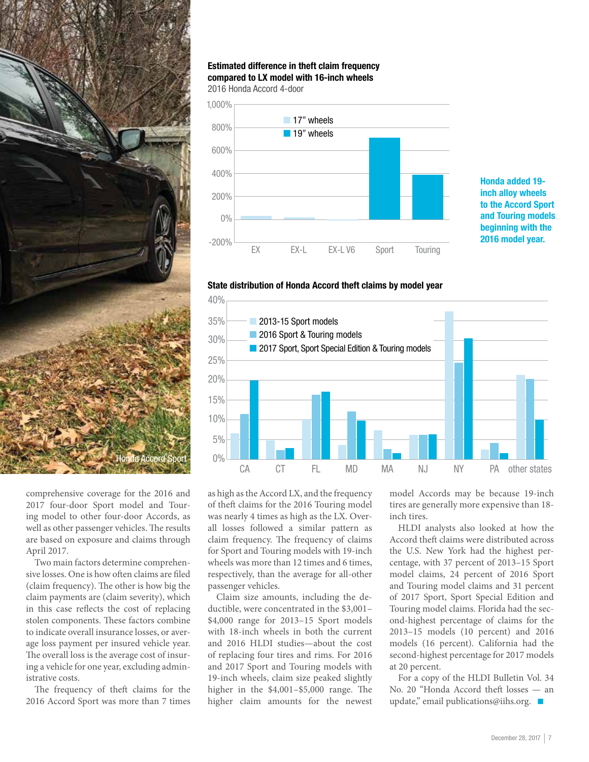

#### Estimated difference in theft claim frequency compared to LX model with 16-inch wheels

2016 Honda Accord 4-door



Honda added 19 inch alloy wheels to the Accord Sport and Touring models beginning with the 2016 model year.





comprehensive coverage for the 2016 and 2017 four-door Sport model and Touring model to other four-door Accords, as well as other passenger vehicles. The results are based on exposure and claims through April 2017.

Two main factors determine comprehensive losses. One is how often claims are filed (claim frequency). The other is how big the claim payments are (claim severity), which in this case reflects the cost of replacing stolen components. These factors combine to indicate overall insurance losses, or average loss payment per insured vehicle year. The overall loss is the average cost of insuring a vehicle for one year, excluding administrative costs.

The frequency of theft claims for the 2016 Accord Sport was more than 7 times

as high as the Accord LX, and the frequency of theft claims for the 2016 Touring model was nearly 4 times as high as the LX. Overall losses followed a similar pattern as claim frequency. The frequency of claims for Sport and Touring models with 19-inch wheels was more than 12 times and 6 times, respectively, than the average for all-other passenger vehicles.

Claim size amounts, including the deductible, were concentrated in the \$3,001– \$4,000 range for 2013–15 Sport models with 18-inch wheels in both the current and 2016 HLDI studies—about the cost of replacing four tires and rims. For 2016 and 2017 Sport and Touring models with 19-inch wheels, claim size peaked slightly higher in the \$4,001–\$5,000 range. The higher claim amounts for the newest

model Accords may be because 19-inch tires are generally more expensive than 18 inch tires.

HLDI analysts also looked at how the Accord theft claims were distributed across the U.S. New York had the highest percentage, with 37 percent of 2013–15 Sport model claims, 24 percent of 2016 Sport and Touring model claims and 31 percent of 2017 Sport, Sport Special Edition and Touring model claims. Florida had the second-highest percentage of claims for the 2013–15 models (10 percent) and 2016 models (16 percent). California had the second-highest percentage for 2017 models at 20 percent.

For a copy of the HLDI Bulletin Vol. 34 No. 20 "Honda Accord theft losses — an update," email publications@iihs.org.